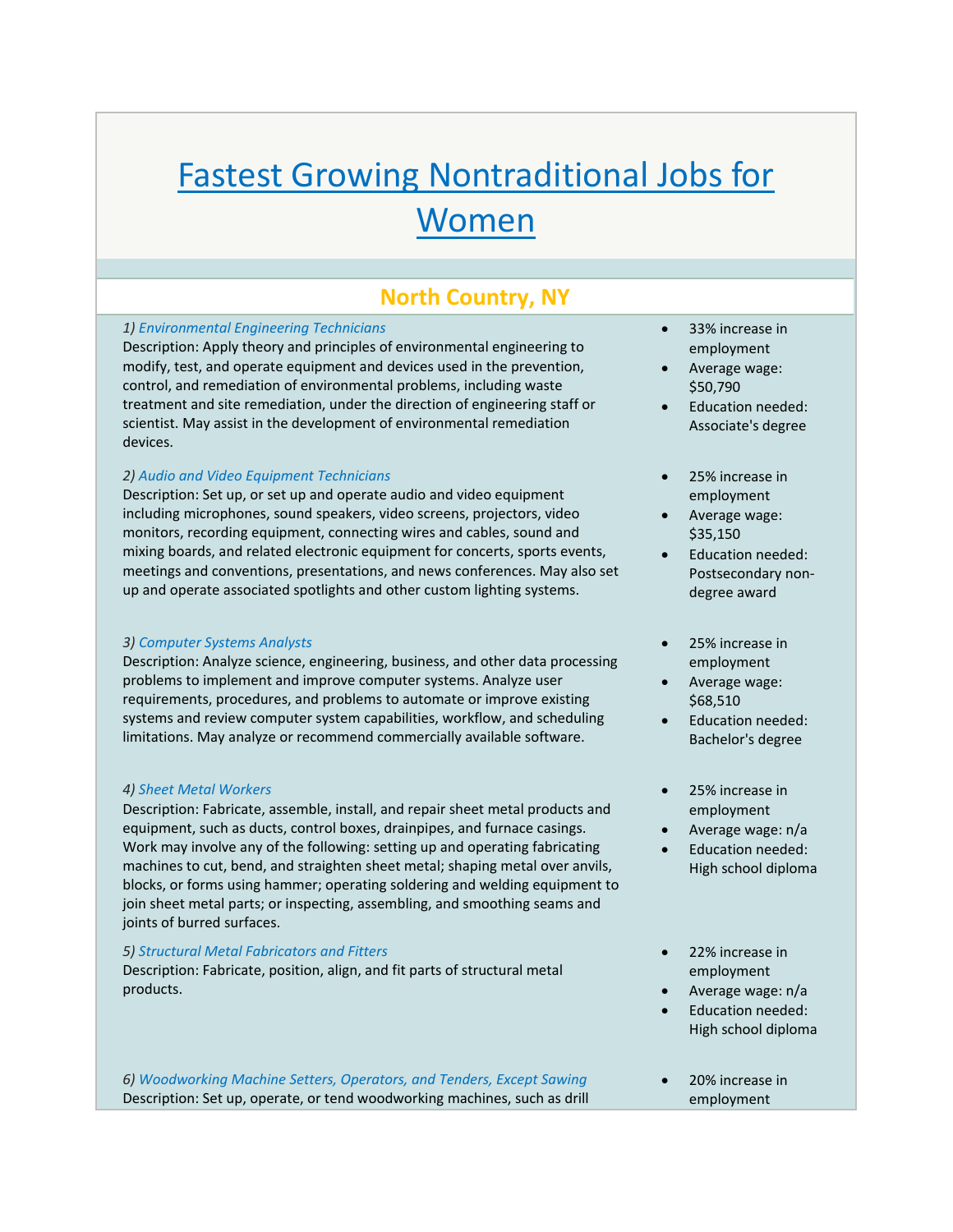# Fastest Growing Nontraditional Jobs for Women

# **North Country, NY**

#### *1) Environmental Engineering Technicians*

Description: Apply theory and principles of environmental engineering to modify, test, and operate equipment and devices used in the prevention, control, and remediation of environmental problems, including waste treatment and site remediation, under the direction of engineering staff or scientist. May assist in the development of environmental remediation devices.

#### *2) Audio and Video Equipment Technicians*

Description: Set up, or set up and operate audio and video equipment including microphones, sound speakers, video screens, projectors, video monitors, recording equipment, connecting wires and cables, sound and mixing boards, and related electronic equipment for concerts, sports events, meetings and conventions, presentations, and news conferences. May also set up and operate associated spotlights and other custom lighting systems.

#### *3) Computer Systems Analysts*

Description: Analyze science, engineering, business, and other data processing problems to implement and improve computer systems. Analyze user requirements, procedures, and problems to automate or improve existing systems and review computer system capabilities, workflow, and scheduling limitations. May analyze or recommend commercially available software.

#### *4) Sheet Metal Workers*

Description: Fabricate, assemble, install, and repair sheet metal products and equipment, such as ducts, control boxes, drainpipes, and furnace casings. Work may involve any of the following: setting up and operating fabricating machines to cut, bend, and straighten sheet metal; shaping metal over anvils, blocks, or forms using hammer; operating soldering and welding equipment to join sheet metal parts; or inspecting, assembling, and smoothing seams and joints of burred surfaces.

#### *5) Structural Metal Fabricators and Fitters*

Description: Fabricate, position, align, and fit parts of structural metal products.

*6) Woodworking Machine Setters, Operators, and Tenders, Except Sawing* Description: Set up, operate, or tend woodworking machines, such as drill

- 33% increase in employment
- Average wage: \$50,790
- Education needed: Associate's degree
- 25% increase in employment
- Average wage: \$35,150
- Education needed: Postsecondary non‐ degree award
- 25% increase in employment
- Average wage: \$68,510
- Education needed: Bachelor's degree
- 25% increase in employment
- Average wage: n/a
- Education needed: High school diploma
- 22% increase in employment
- Average wage: n/a Education needed:
- High school diploma
- 20% increase in employment